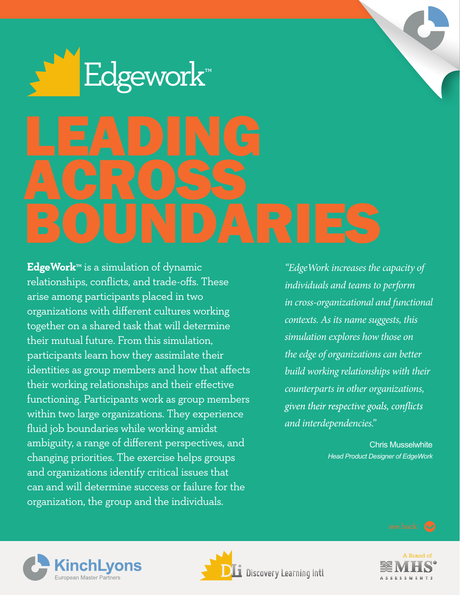

**EdgeWork™** is a simulation of dynamic relationships, conflicts, and trade-offs. These arise among participants placed in two organizations with different cultures working together on a shared task that will determine their mutual future. From this simulation, participants learn how they assimilate their identities as group members and how that affects their working relationships and their effective functioning. Participants work as group members within two large organizations. They experience fluid job boundaries while working amidst ambiguity, a range of different perspectives, and changing priorities. The exercise helps groups and organizations identify critical issues that can and will determine success or failure for the organization, the group and the individuals.

*"EdgeWork increases the capacity of individuals and teams to perform in cross-organizational and functional contexts. As its name suggests, this simulation explores how those on the edge of organizations can better build working relationships with their counterparts in other organizations,*  given their respective goals, conflicts *and interdependencies."*

> Chris Musselwhite *Head Product Designer of EdgeWork*

![](_page_0_Picture_4.jpeg)

![](_page_0_Picture_5.jpeg)

![](_page_0_Picture_6.jpeg)

see back (